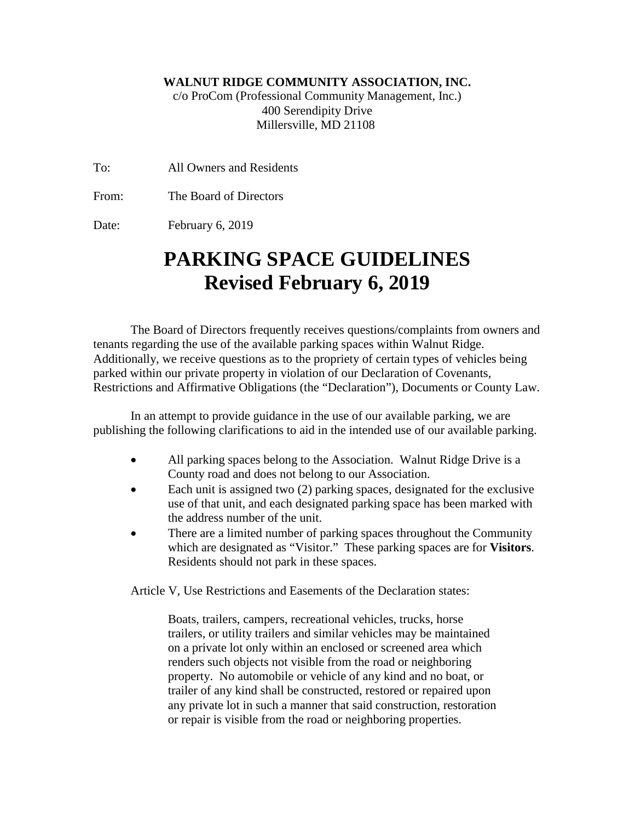## **WALNUT RIDGE COMMUNITY ASSOCIATION, INC.**

c/o ProCom (Professional Community Management, Inc.) 400 Serendipity Drive Millersville, MD 21108

To: All Owners and Residents

From: The Board of Directors

Date: February 6, 2019

## **PARKING SPACE GUIDELINES Revised February 6, 2019**

The Board of Directors frequently receives questions/complaints from owners and tenants regarding the use of the available parking spaces within Walnut Ridge. Additionally, we receive questions as to the propriety of certain types of vehicles being parked within our private property in violation of our Declaration of Covenants, Restrictions and Affirmative Obligations (the "Declaration"), Documents or County Law.

In an attempt to provide guidance in the use of our available parking, we are publishing the following clarifications to aid in the intended use of our available parking.

- All parking spaces belong to the Association. Walnut Ridge Drive is a County road and does not belong to our Association.
- Each unit is assigned two (2) parking spaces, designated for the exclusive use of that unit, and each designated parking space has been marked with the address number of the unit.
- There are a limited number of parking spaces throughout the Community which are designated as "Visitor." These parking spaces are for **Visitors**. Residents should not park in these spaces.

Article V, Use Restrictions and Easements of the Declaration states:

Boats, trailers, campers, recreational vehicles, trucks, horse trailers, or utility trailers and similar vehicles may be maintained on a private lot only within an enclosed or screened area which renders such objects not visible from the road or neighboring property. No automobile or vehicle of any kind and no boat, or trailer of any kind shall be constructed, restored or repaired upon any private lot in such a manner that said construction, restoration or repair is visible from the road or neighboring properties.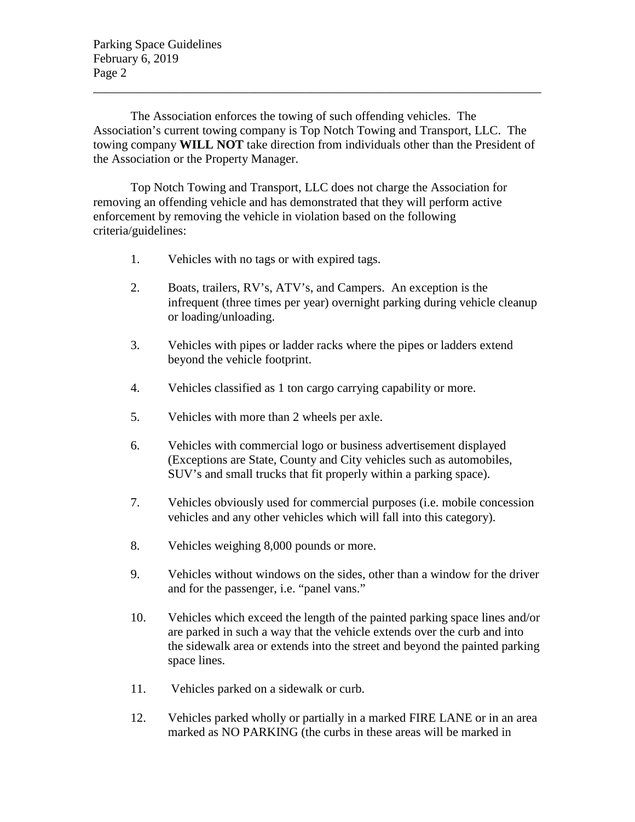Parking Space Guidelines February 6, 2019 Page 2

The Association enforces the towing of such offending vehicles. The Association's current towing company is Top Notch Towing and Transport, LLC. The towing company **WILL NOT** take direction from individuals other than the President of the Association or the Property Manager.

\_\_\_\_\_\_\_\_\_\_\_\_\_\_\_\_\_\_\_\_\_\_\_\_\_\_\_\_\_\_\_\_\_\_\_\_\_\_\_\_\_\_\_\_\_\_\_\_\_\_\_\_\_\_\_\_\_\_\_\_\_\_\_\_\_\_\_\_\_\_\_\_

Top Notch Towing and Transport, LLC does not charge the Association for removing an offending vehicle and has demonstrated that they will perform active enforcement by removing the vehicle in violation based on the following criteria/guidelines:

- 1. Vehicles with no tags or with expired tags.
- 2. Boats, trailers, RV's, ATV's, and Campers. An exception is the infrequent (three times per year) overnight parking during vehicle cleanup or loading/unloading.
- 3. Vehicles with pipes or ladder racks where the pipes or ladders extend beyond the vehicle footprint.
- 4. Vehicles classified as 1 ton cargo carrying capability or more.
- 5. Vehicles with more than 2 wheels per axle.
- 6. Vehicles with commercial logo or business advertisement displayed (Exceptions are State, County and City vehicles such as automobiles, SUV's and small trucks that fit properly within a parking space).
- 7. Vehicles obviously used for commercial purposes (i.e. mobile concession vehicles and any other vehicles which will fall into this category).
- 8. Vehicles weighing 8,000 pounds or more.
- 9. Vehicles without windows on the sides, other than a window for the driver and for the passenger, i.e. "panel vans."
- 10. Vehicles which exceed the length of the painted parking space lines and/or are parked in such a way that the vehicle extends over the curb and into the sidewalk area or extends into the street and beyond the painted parking space lines.
- 11. Vehicles parked on a sidewalk or curb.
- 12. Vehicles parked wholly or partially in a marked FIRE LANE or in an area marked as NO PARKING (the curbs in these areas will be marked in